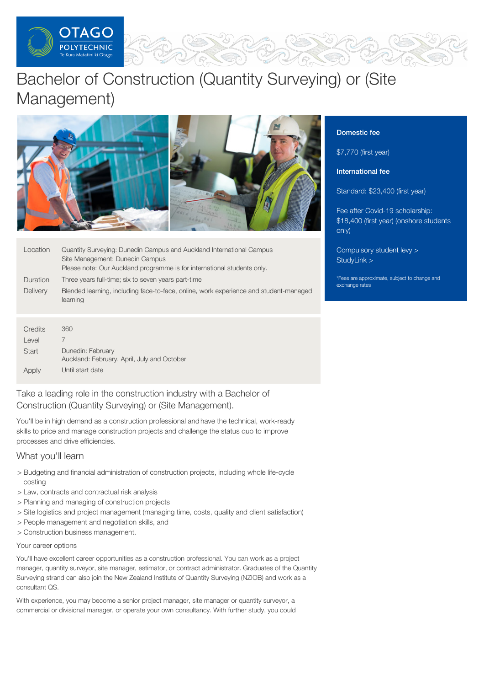

# Bachelor of Construction (Quantity Surveying) or (Site Management)



| Location                             | Quantity Surveying: Dunedin Campus and Auckland International Campus<br>Site Management: Dunedin Campus<br>Please note: Our Auckland programme is for international students only. |
|--------------------------------------|------------------------------------------------------------------------------------------------------------------------------------------------------------------------------------|
| Duration                             | Three years full-time; six to seven years part-time                                                                                                                                |
| <b>Delivery</b>                      | Blended learning, including face-to-face, online, work experience and student-managed<br>learning                                                                                  |
|                                      |                                                                                                                                                                                    |
| Credits<br>$\mathbf{1}$ $\mathbf{1}$ | 360<br>$\rightarrow$                                                                                                                                                               |

| Credits | 360                                                              |
|---------|------------------------------------------------------------------|
| Level   |                                                                  |
| Start   | Dunedin: February<br>Auckland: February, April, July and October |
| Apply   | Until start date                                                 |

Take a leading role in the construction industry with a Bachelor of Construction (Quantity Surveying) or (Site Management).

You'll be in high demand as a construction professional and have the technical, work-ready skills to price and manage construction projects and challenge the status quo to improve processes and drive efficiencies.

# What you'll learn

- > Budgeting and financial administration of construction projects, including whole life-cycle costing
- > Law, contracts and contractual risk analysis
- > Planning and managing of construction projects
- > Site logistics and project management (managing time, costs, quality and client satisfaction)
- > People management and negotiation skills, and
- > Construction business management.

# Your career options

You'll have excellent career opportunities as a construction professional. You can work as a project manager, quantity surveyor, site manager, estimator, or contract administrator. Graduates of the Quantity Surveying strand can also join the New Zealand Institute of Quantity Surveying (NZIOB) and work as a consultant QS.

With experience, you may become a senior project manager, site manager or quantity surveyor, a commercial or divisional manager, or operate your own consultancy. With further study, you could

## Domestic fee

\$7,770 (first year)

International fee

Standard: \$23,400 (first year)

Fee after Covid-19 scholarship: \$18,400 (first year) (onshore students only)

[Compulsory](https://online.op.ac.nz/students/important-information/student-services-levy/) student levy > [StudyLink](https://www.studylink.govt.nz/) >

\*Fees are approximate, subject to change and exchange rates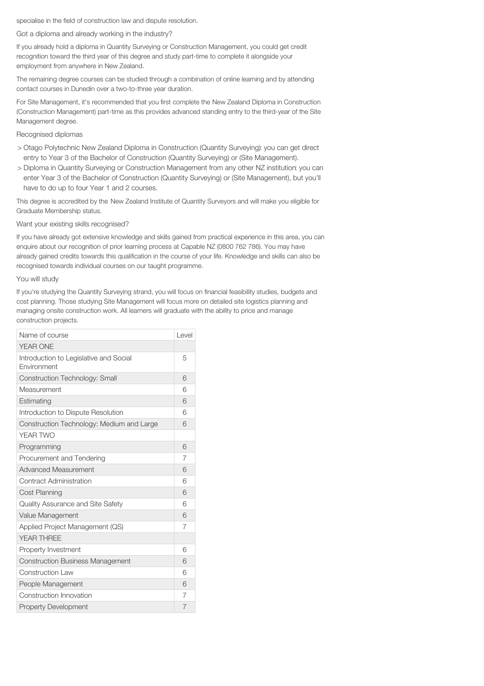specialise in the field of construction law and dispute resolution.

### Got a diploma and already working in the industry?

If you already hold a diploma in Quantity Surveying or Construction Management, you could get credit recognition toward the third year of this degree and study part-time to complete it alongside your employment from anywhere in New Zealand.

The remaining degree courses can be studied through a combination of online learning and by attending contact courses in Dunedin over a two-to-three year duration.

For Site Management, it's recommended that you first complete the New Zealand Diploma in Construction (Construction Management) part-time as this provides advanced standing entry to the third-year of the Site Management degree.

#### Recognised diplomas

- > Otago Polytechnic New Zealand Diploma in Construction (Quantity Surveying): you can get direct entry to Year 3 of the Bachelor of Construction (Quantity Surveying) or (Site Management).
- > Diploma in Quantity Surveying or Construction Management from any other NZ institution: you can enter Year 3 of the Bachelor of Construction (Quantity Surveying) or (Site Management), but you'll have to do up to four Year 1 and 2 courses.

This degree is accredited by the New Zealand Institute of Quantity Surveyors and will make you eligible for Graduate Membership status.

#### Want your existing skills recognised?

If you have already got extensive knowledge and skills gained from practical experience in this area, you can enquire about our recognition of prior learning process at Capable NZ (0800 762 786). You may have already gained credits towards this qualification in the course of your life. Knowledge and skills can also be recognised towards individual courses on our taught programme.

#### You will study

If you're studying the Quantity Surveying strand, you will focus on financial feasibility studies, budgets and cost planning. Those studying Site Management will focus more on detailed site logistics planning and managing onsite construction work. All learners will graduate with the ability to price and manage construction projects.

| Name of course                                        | Level |
|-------------------------------------------------------|-------|
| <b>YEAR ONE</b>                                       |       |
| Introduction to Legislative and Social<br>Environment | 5     |
| Construction Technology: Small                        | 6     |
| Measurement                                           | 6     |
| Estimating                                            | 6     |
| Introduction to Dispute Resolution                    | 6     |
| Construction Technology: Medium and Large             | 6     |
| YEAR TWO                                              |       |
| Programming                                           | 6     |
| Procurement and Tendering                             | 7     |
| <b>Advanced Measurement</b>                           | 6     |
| Contract Administration                               | 6     |
| <b>Cost Planning</b>                                  | 6     |
| <b>Quality Assurance and Site Safety</b>              | 6     |
| Value Management                                      | 6     |
| Applied Project Management (QS)                       | 7     |
| <b>YFAR THRFF</b>                                     |       |
| Property Investment                                   | 6     |
| <b>Construction Business Management</b>               | 6     |
| <b>Construction Law</b>                               | 6     |
| People Management                                     | 6     |
| Construction Innovation                               | 7     |
| <b>Property Development</b>                           | 7     |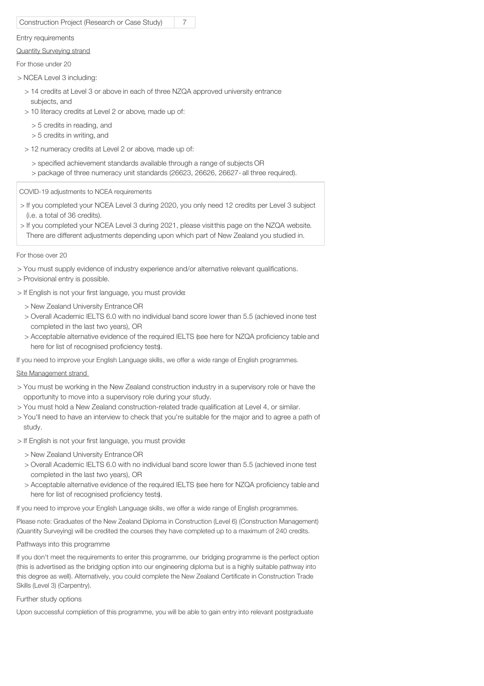| Construction Project (Research or Case Study)                                                                                                                  | 7 |  |
|----------------------------------------------------------------------------------------------------------------------------------------------------------------|---|--|
| Entry requirements                                                                                                                                             |   |  |
| <b>Quantity Surveying strand</b>                                                                                                                               |   |  |
| For those under 20                                                                                                                                             |   |  |
| > NCEA Level 3 including:                                                                                                                                      |   |  |
| > 14 credits at Level 3 or above in each of three NZQA approved university entrance<br>subjects, and<br>> 10 literacy credits at Level 2 or above, made up of: |   |  |
| $>$ 5 credits in reading, and<br>$>$ 5 credits in writing, and                                                                                                 |   |  |

- > 12 numeracy credits at Level 2 or above, made up of:
	- > specified achievement standards available through a range of subjects OR > package of three numeracy unit standards (26623, 26626, 26627- all three required).

COVID-19 adjustments to NCEA requirements

- > If you completed your NCEA Level 3 during 2020, you only need 12 credits per Level 3 subject (i.e. a total of 36 credits).
- > If you completed your NCEA Level 3 during 2021, please visitthis page on the NZQA website. There are different adjustments depending upon which part of New Zealand you studied in.

For those over 20

- > You must supply evidence of industry experience and/or alternative relevant qualifications.
- > Provisional entry is possible.
- > If English is not your first language, you must provide:
	- > New Zealand University Entrance OR
	- > Overall Academic IELTS 6.0 with no individual band score lower than 5.5 (achieved inone test completed in the last two years), OR
	- > Acceptable alternative evidence of the required IELTS (see here for NZQA proficiency table and here for list of recognised proficiency tests).

If you need to improve your English Language skills, we offer a wide range of English programmes.

## Site Management strand

- > You must be working in the New Zealand construction industry in a supervisory role or have the opportunity to move into a supervisory role during your study.
- > You must hold a New Zealand construction-related trade qualification at Level 4, or similar.
- > You'll need to have an interview to check that you're suitable for the major and to agree a path of study.
- > If English is not your first language, you must provide:
	- > New Zealand University Entrance OR
	- > Overall Academic IELTS 6.0 with no individual band score lower than 5.5 (achieved inone test completed in the last two years), OR
	- > Acceptable alternative evidence of the required IELTS (see here for NZQA proficiency table and here for list of recognised proficiency tests).

If you need to improve your English Language skills, we offer a wide range of English programmes.

Please note: Graduates of the New Zealand Diploma in Construction (Level 6) (Construction Management) (Quantity Surveying) will be credited the courses they have completed up to a maximum of 240 credits.

Pathways into this programme

If you don't meet the requirements to enter this programme, our bridging programme is the perfect option (this is advertised as the bridging option into our engineering diploma but is a highly suitable pathway into this degree as well). Alternatively, you could complete the New Zealand Certificate in Construction Trade Skills (Level 3) (Carpentry).

## Further study options

Upon successful completion of this programme, you will be able to gain entry into relevant postgraduate